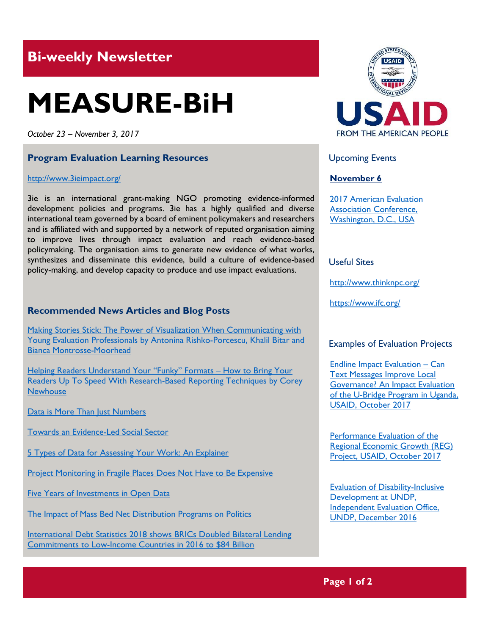# **Bi-weekly Newsletter**

# **MEASURE-BiH**

*October 23 – November 3, 2017*

### **Program Evaluation Learning Resources**

#### <http://www.3ieimpact.org/>

3ie is an international grant-making NGO promoting evidence-informed development policies and programs. 3ie has a highly qualified and diverse international team governed by a board of eminent policymakers and researchers and is affiliated with and supported by a network of reputed organisation aiming to improve lives through impact evaluation and reach evidence-based policymaking. The organisation aims to generate new evidence of what works, synthesizes and disseminate this evidence, build a culture of evidence-based policy-making, and develop capacity to produce and use impact evaluations.

# **Recommended News Articles and Blog Posts**

Making [Stories Stick: The Power of Visualization](http://aea365.org/blog/making-stories-stick-the-power-of-visualisation-when-communicating-with-young-evaluation-professionals-by-antonina-rishko-porcescu-khalil-bitar-and-bianca-montrosse-moorhead/?utm_source=feedburner&utm_medium=feed&utm_campaign=Feed%3A+aea365+%28AEA365%29) When Communicating with [Young Evaluation Professionals by Antonina Rishko-Porcescu, Khalil Bitar and](http://aea365.org/blog/making-stories-stick-the-power-of-visualisation-when-communicating-with-young-evaluation-professionals-by-antonina-rishko-porcescu-khalil-bitar-and-bianca-montrosse-moorhead/?utm_source=feedburner&utm_medium=feed&utm_campaign=Feed%3A+aea365+%28AEA365%29)  [Bianca Montrosse-Moorhead](http://aea365.org/blog/making-stories-stick-the-power-of-visualisation-when-communicating-with-young-evaluation-professionals-by-antonina-rishko-porcescu-khalil-bitar-and-bianca-montrosse-moorhead/?utm_source=feedburner&utm_medium=feed&utm_campaign=Feed%3A+aea365+%28AEA365%29)

[Helping Readers Understand Your](http://aea365.org/blog/helping-readers-understand-your-funky-formats-how-to-bring-your-readers-up-to-speed-with-research-based-reporting-techniques-by-corey-newhouse/?utm_source=feedburner&utm_medium=feed&utm_campaign=Feed%3A+aea365+%28AEA365%29) "Funky" Formats - How to Bring Your [Readers Up To Speed With Research-Based Reporting Techniques by Corey](http://aea365.org/blog/helping-readers-understand-your-funky-formats-how-to-bring-your-readers-up-to-speed-with-research-based-reporting-techniques-by-corey-newhouse/?utm_source=feedburner&utm_medium=feed&utm_campaign=Feed%3A+aea365+%28AEA365%29)  **[Newhouse](http://aea365.org/blog/helping-readers-understand-your-funky-formats-how-to-bring-your-readers-up-to-speed-with-research-based-reporting-techniques-by-corey-newhouse/?utm_source=feedburner&utm_medium=feed&utm_campaign=Feed%3A+aea365+%28AEA365%29)** 

[Data is More Than Just Numbers](https://blog.socialcops.com/intelligence/best-practices/data-more-just-numbers-pm-ujjwala-yojana/)

[Towards an Evidence-Led Social Sector](http://www.thinknpc.org/publications/towards-an-evidence-led-social-sector/)

[5 Types of Data for Assessing Your Work: An Explainer](http://www.thinknpc.org/blog/5-types-of-data/)

[Project Monitoring in Fragile Places Does Not Have to Be Expensive](https://blogs.worldbank.org/nasikiliza/project-monitoring-in-fragile-places-does-not-have-to-be-expensive)

**[Five Years of Investments in Open Data](https://blogs.worldbank.org/opendata/five-years-investments-open-data)** 

[The Impact of Mass Bed Net Distribution Programs on Politics](http://www.worldbank.org/en/research/dime/brief/Bed-Net-Impact)

[International Debt Statistics 2018 shows BRICs Doubled Bilateral Lending](http://blogs.worldbank.org/opendata/2018-edition-international-debt-statistics-out)  [Commitments to Low-Income Countries in 2016 to \\$84 Billion](http://blogs.worldbank.org/opendata/2018-edition-international-debt-statistics-out)



Upcoming Events

# **November 6**

[2017 American Evaluation](http://mande.co.uk/conferences/?event_id1=31)  [Association Conference,](http://mande.co.uk/conferences/?event_id1=31)  [Washington, D.C., USA](http://mande.co.uk/conferences/?event_id1=31)

# Useful Sites

[http://www.t](http://www.pewresearch.org/)hinknpc.org/

<https://www.ifc.org/>

### Examples of Evaluation Projects

[Endline Impact Evaluation](http://pdf.usaid.gov/pdf_docs/pa00n1tc.pdf) – Can [Text Messages Improve Local](http://pdf.usaid.gov/pdf_docs/pa00n1tc.pdf)  [Governance? An Impact Evaluation](http://pdf.usaid.gov/pdf_docs/pa00n1tc.pdf)  [of the U-Bridge Program in Uganda,](http://pdf.usaid.gov/pdf_docs/pa00n1tc.pdf)  [USAID, October 2017](http://pdf.usaid.gov/pdf_docs/pa00n1tc.pdf)

[Performance Evaluation of the](http://pdf.usaid.gov/pdf_docs/pa00n298.pdf)  [Regional Economic Growth \(REG\)](http://pdf.usaid.gov/pdf_docs/pa00n298.pdf)  [Project, USAID, October 2017](http://pdf.usaid.gov/pdf_docs/pa00n298.pdf)

[Evaluation of Disability-Inclusive](http://web.undp.org/evaluation/evaluations/thematic/disability.shtml)  [Development at UNDP,](http://web.undp.org/evaluation/evaluations/thematic/disability.shtml)  [Independent Evaluation Office,](http://web.undp.org/evaluation/evaluations/thematic/disability.shtml) UNDP, [December 2016](http://web.undp.org/evaluation/evaluations/thematic/disability.shtml)